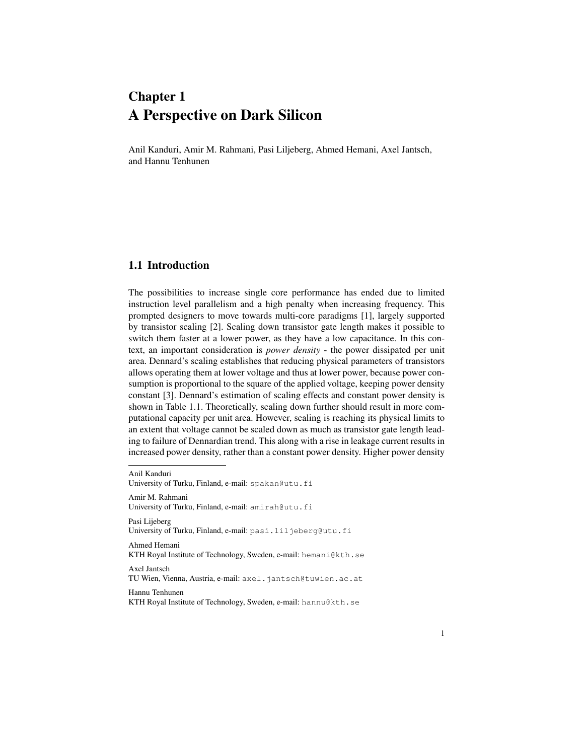# Chapter 1 A Perspective on Dark Silicon

Anil Kanduri, Amir M. Rahmani, Pasi Liljeberg, Ahmed Hemani, Axel Jantsch, and Hannu Tenhunen

## 1.1 Introduction

The possibilities to increase single core performance has ended due to limited instruction level parallelism and a high penalty when increasing frequency. This prompted designers to move towards multi-core paradigms [1], largely supported by transistor scaling [2]. Scaling down transistor gate length makes it possible to switch them faster at a lower power, as they have a low capacitance. In this context, an important consideration is *power density* - the power dissipated per unit area. Dennard's scaling establishes that reducing physical parameters of transistors allows operating them at lower voltage and thus at lower power, because power consumption is proportional to the square of the applied voltage, keeping power density constant [3]. Dennard's estimation of scaling effects and constant power density is shown in Table 1.1. Theoretically, scaling down further should result in more computational capacity per unit area. However, scaling is reaching its physical limits to an extent that voltage cannot be scaled down as much as transistor gate length leading to failure of Dennardian trend. This along with a rise in leakage current results in increased power density, rather than a constant power density. Higher power density

Anil Kanduri University of Turku, Finland, e-mail: spakan@utu.fi Amir M. Rahmani University of Turku, Finland, e-mail: amirah@utu.fi Pasi Liieberg University of Turku, Finland, e-mail: pasi.liljeberg@utu.fi Ahmed Hemani KTH Royal Institute of Technology, Sweden, e-mail: hemani@kth.se Axel Jantsch TU Wien, Vienna, Austria, e-mail: axel.jantsch@tuwien.ac.at Hannu Tenhunen KTH Royal Institute of Technology, Sweden, e-mail: hannu@kth.se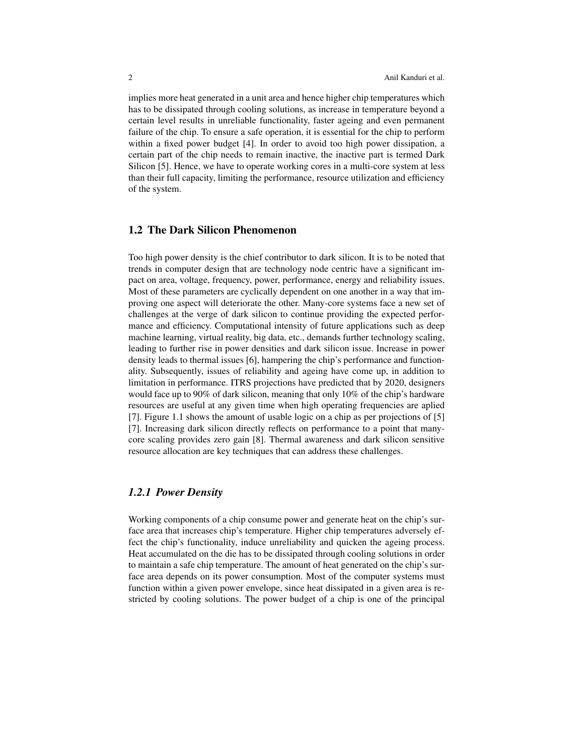implies more heat generated in a unit area and hence higher chip temperatures which has to be dissipated through cooling solutions, as increase in temperature beyond a certain level results in unreliable functionality, faster ageing and even permanent failure of the chip. To ensure a safe operation, it is essential for the chip to perform within a fixed power budget [4]. In order to avoid too high power dissipation, a certain part of the chip needs to remain inactive, the inactive part is termed Dark Silicon [5]. Hence, we have to operate working cores in a multi-core system at less than their full capacity, limiting the performance, resource utilization and efficiency of the system.

# 1.2 The Dark Silicon Phenomenon

Too high power density is the chief contributor to dark silicon. It is to be noted that trends in computer design that are technology node centric have a significant impact on area, voltage, frequency, power, performance, energy and reliability issues. Most of these parameters are cyclically dependent on one another in a way that improving one aspect will deteriorate the other. Many-core systems face a new set of challenges at the verge of dark silicon to continue providing the expected performance and efficiency. Computational intensity of future applications such as deep machine learning, virtual reality, big data, etc., demands further technology scaling, leading to further rise in power densities and dark silicon issue. Increase in power density leads to thermal issues [6], hampering the chip's performance and functionality. Subsequently, issues of reliability and ageing have come up, in addition to limitation in performance. ITRS projections have predicted that by 2020, designers would face up to 90% of dark silicon, meaning that only 10% of the chip's hardware resources are useful at any given time when high operating frequencies are aplied [7]. Figure 1.1 shows the amount of usable logic on a chip as per projections of [5] [7]. Increasing dark silicon directly reflects on performance to a point that manycore scaling provides zero gain [8]. Thermal awareness and dark silicon sensitive resource allocation are key techniques that can address these challenges.

# *1.2.1 Power Density*

Working components of a chip consume power and generate heat on the chip's surface area that increases chip's temperature. Higher chip temperatures adversely effect the chip's functionality, induce unreliability and quicken the ageing process. Heat accumulated on the die has to be dissipated through cooling solutions in order to maintain a safe chip temperature. The amount of heat generated on the chip's surface area depends on its power consumption. Most of the computer systems must function within a given power envelope, since heat dissipated in a given area is restricted by cooling solutions. The power budget of a chip is one of the principal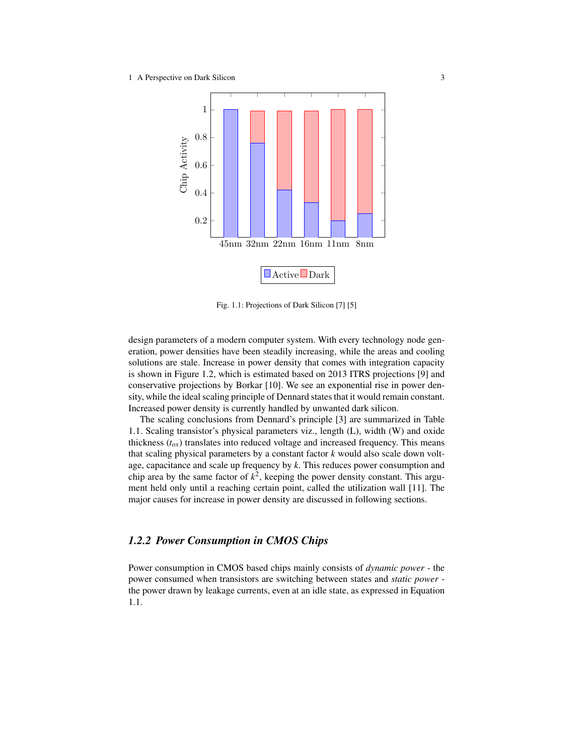

Fig. 1.1: Projections of Dark Silicon [7] [5]

design parameters of a modern computer system. With every technology node generation, power densities have been steadily increasing, while the areas and cooling solutions are stale. Increase in power density that comes with integration capacity is shown in Figure 1.2, which is estimated based on 2013 ITRS projections [9] and conservative projections by Borkar [10]. We see an exponential rise in power density, while the ideal scaling principle of Dennard states that it would remain constant. Increased power density is currently handled by unwanted dark silicon.

The scaling conclusions from Dennard's principle [3] are summarized in Table 1.1. Scaling transistor's physical parameters viz., length (L), width (W) and oxide thickness  $(t_{ox})$  translates into reduced voltage and increased frequency. This means that scaling physical parameters by a constant factor *k* would also scale down voltage, capacitance and scale up frequency by *k*. This reduces power consumption and chip area by the same factor of  $k^2$ , keeping the power density constant. This argument held only until a reaching certain point, called the utilization wall [11]. The major causes for increase in power density are discussed in following sections.

# *1.2.2 Power Consumption in CMOS Chips*

Power consumption in CMOS based chips mainly consists of *dynamic power* - the power consumed when transistors are switching between states and *static power* the power drawn by leakage currents, even at an idle state, as expressed in Equation 1.1.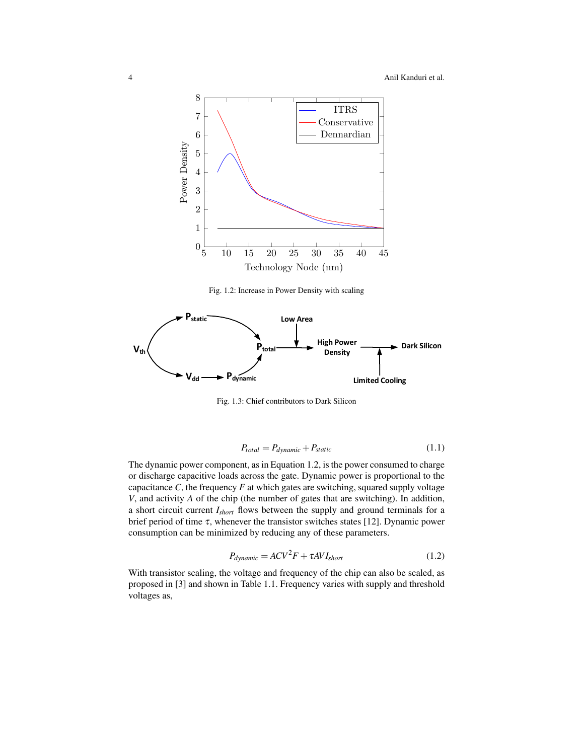

Fig. 1.2: Increase in Power Density with scaling



Fig. 1.3: Chief contributors to Dark Silicon

$$
P_{total} = P_{dynamic} + P_{static}
$$
 (1.1)

The dynamic power component, as in Equation 1.2, is the power consumed to charge or discharge capacitive loads across the gate. Dynamic power is proportional to the capacitance  $C$ , the frequency  $F$  at which gates are switching, squared supply voltage *V*, and activity *A* of the chip (the number of gates that are switching). In addition, a short circuit current *Ishort* flows between the supply and ground terminals for a brief period of time  $\tau$ , whenever the transistor switches states [12]. Dynamic power consumption can be minimized by reducing any of these parameters.

$$
P_{dynamic} = ACV^2F + \tau AVI_{short}
$$
 (1.2)

With transistor scaling, the voltage and frequency of the chip can also be scaled, as proposed in [3] and shown in Table 1.1. Frequency varies with supply and threshold voltages as,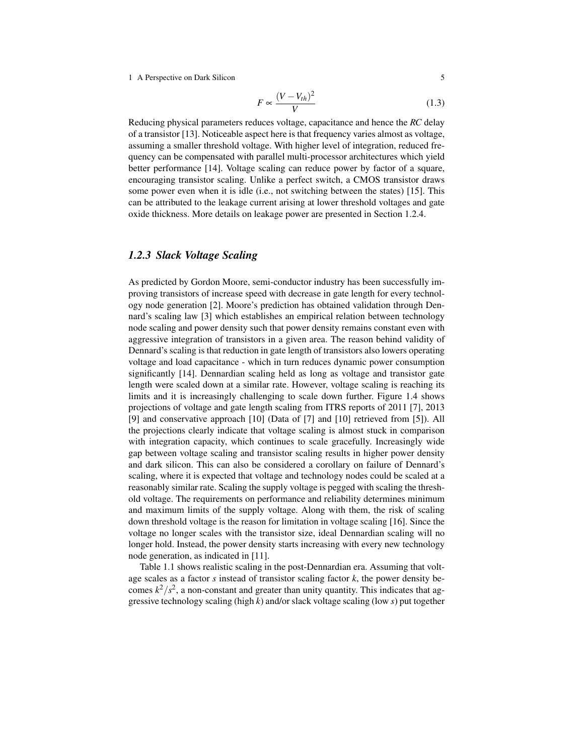1 A Perspective on Dark Silicon 5

$$
F \propto \frac{(V - V_{th})^2}{V} \tag{1.3}
$$

Reducing physical parameters reduces voltage, capacitance and hence the *RC* delay of a transistor [13]. Noticeable aspect here is that frequency varies almost as voltage, assuming a smaller threshold voltage. With higher level of integration, reduced frequency can be compensated with parallel multi-processor architectures which yield better performance [14]. Voltage scaling can reduce power by factor of a square, encouraging transistor scaling. Unlike a perfect switch, a CMOS transistor draws some power even when it is idle (i.e., not switching between the states) [15]. This can be attributed to the leakage current arising at lower threshold voltages and gate oxide thickness. More details on leakage power are presented in Section 1.2.4.

#### *1.2.3 Slack Voltage Scaling*

As predicted by Gordon Moore, semi-conductor industry has been successfully improving transistors of increase speed with decrease in gate length for every technology node generation [2]. Moore's prediction has obtained validation through Dennard's scaling law [3] which establishes an empirical relation between technology node scaling and power density such that power density remains constant even with aggressive integration of transistors in a given area. The reason behind validity of Dennard's scaling is that reduction in gate length of transistors also lowers operating voltage and load capacitance - which in turn reduces dynamic power consumption significantly [14]. Dennardian scaling held as long as voltage and transistor gate length were scaled down at a similar rate. However, voltage scaling is reaching its limits and it is increasingly challenging to scale down further. Figure 1.4 shows projections of voltage and gate length scaling from ITRS reports of 2011 [7], 2013 [9] and conservative approach [10] (Data of [7] and [10] retrieved from [5]). All the projections clearly indicate that voltage scaling is almost stuck in comparison with integration capacity, which continues to scale gracefully. Increasingly wide gap between voltage scaling and transistor scaling results in higher power density and dark silicon. This can also be considered a corollary on failure of Dennard's scaling, where it is expected that voltage and technology nodes could be scaled at a reasonably similar rate. Scaling the supply voltage is pegged with scaling the threshold voltage. The requirements on performance and reliability determines minimum and maximum limits of the supply voltage. Along with them, the risk of scaling down threshold voltage is the reason for limitation in voltage scaling [16]. Since the voltage no longer scales with the transistor size, ideal Dennardian scaling will no longer hold. Instead, the power density starts increasing with every new technology node generation, as indicated in [11].

Table 1.1 shows realistic scaling in the post-Dennardian era. Assuming that voltage scales as a factor *s* instead of transistor scaling factor *k*, the power density becomes  $k^2/s^2$ , a non-constant and greater than unity quantity. This indicates that aggressive technology scaling (high *k*) and/or slack voltage scaling (low *s*) put together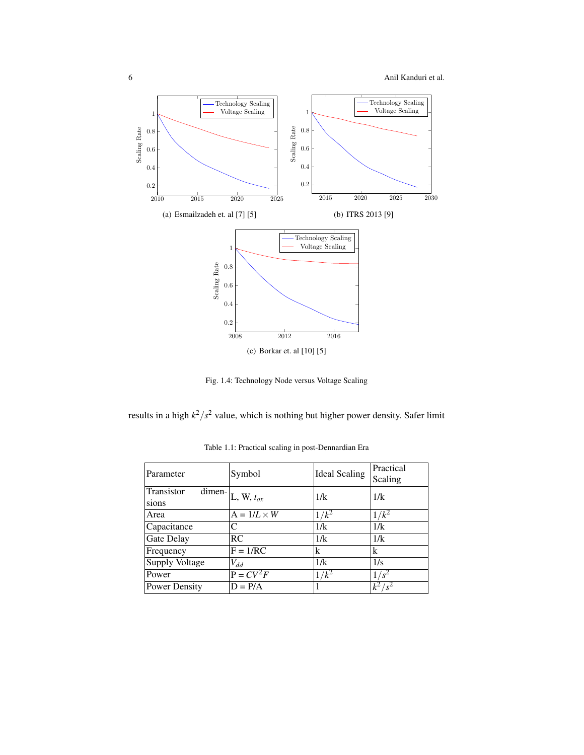

Fig. 1.4: Technology Node versus Voltage Scaling

results in a high  $k^2/s^2$  value, which is nothing but higher power density. Safer limit

| Parameter           | Symbol                                     | <b>Ideal Scaling</b> | Practical<br>Scaling |
|---------------------|--------------------------------------------|----------------------|----------------------|
| Transistor<br>sions | $\overline{\text{dimen}}$   L, W, $t_{ox}$ | 1/k                  | 1/k                  |
| Area                | $A = 1/L \times W$                         | $1/k^2$              | $/k^2$               |
| Capacitance         | C                                          | 1/k                  | 1/k                  |
| Gate Delay          | RC                                         | 1/k                  | 1/k                  |
| Frequency           | $F = 1/RC$                                 | k                    | k                    |
| Supply Voltage      | $V_{dd}$                                   | 1/k                  | 1/s                  |
| Power               | $P = CV^2F$                                | $/k^2$               |                      |
| Power Density       | $D = P/A$                                  |                      | $k^2/s^2$            |

Table 1.1: Practical scaling in post-Dennardian Era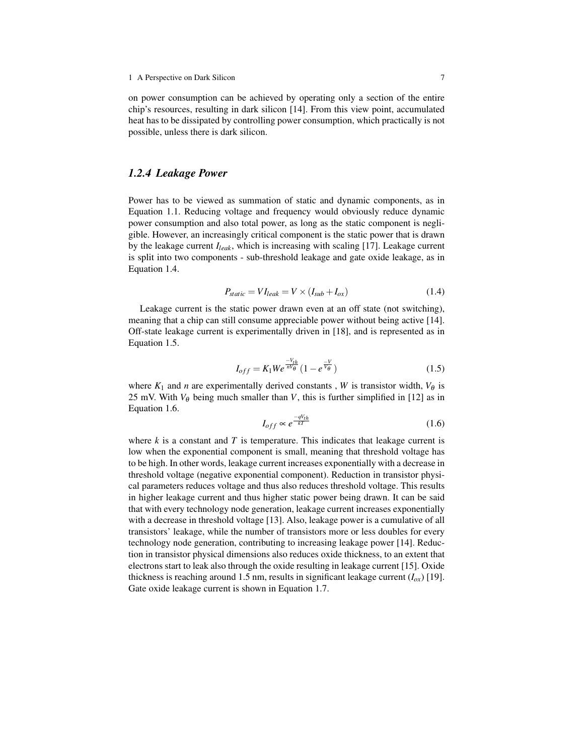on power consumption can be achieved by operating only a section of the entire chip's resources, resulting in dark silicon [14]. From this view point, accumulated heat has to be dissipated by controlling power consumption, which practically is not possible, unless there is dark silicon.

#### *1.2.4 Leakage Power*

Power has to be viewed as summation of static and dynamic components, as in Equation 1.1. Reducing voltage and frequency would obviously reduce dynamic power consumption and also total power, as long as the static component is negligible. However, an increasingly critical component is the static power that is drawn by the leakage current *Ileak*, which is increasing with scaling [17]. Leakage current is split into two components - sub-threshold leakage and gate oxide leakage, as in Equation 1.4.

$$
P_{static} = VI_{leak} = V \times (I_{sub} + I_{ox})
$$
\n(1.4)

Leakage current is the static power drawn even at an off state (not switching), meaning that a chip can still consume appreciable power without being active [14]. Off-state leakage current is experimentally driven in [18], and is represented as in Equation 1.5.

$$
I_{off} = K_1 W e^{\frac{-V_{th}}{nV_{\theta}}} (1 - e^{\frac{-V}{V_{\theta}}})
$$
 (1.5)

where  $K_1$  and *n* are experimentally derived constants, *W* is transistor width,  $V_\theta$  is 25 mV. With  $V_{\theta}$  being much smaller than *V*, this is further simplified in [12] as in Equation 1.6.

$$
I_{off} \propto e^{\frac{-qV_{th}}{kT}}
$$
\n(1.6)

where  $k$  is a constant and  $T$  is temperature. This indicates that leakage current is low when the exponential component is small, meaning that threshold voltage has to be high. In other words, leakage current increases exponentially with a decrease in threshold voltage (negative exponential component). Reduction in transistor physical parameters reduces voltage and thus also reduces threshold voltage. This results in higher leakage current and thus higher static power being drawn. It can be said that with every technology node generation, leakage current increases exponentially with a decrease in threshold voltage [13]. Also, leakage power is a cumulative of all transistors' leakage, while the number of transistors more or less doubles for every technology node generation, contributing to increasing leakage power [14]. Reduction in transistor physical dimensions also reduces oxide thickness, to an extent that electrons start to leak also through the oxide resulting in leakage current [15]. Oxide thickness is reaching around 1.5 nm, results in significant leakage current  $(I_{ox})$  [19]. Gate oxide leakage current is shown in Equation 1.7.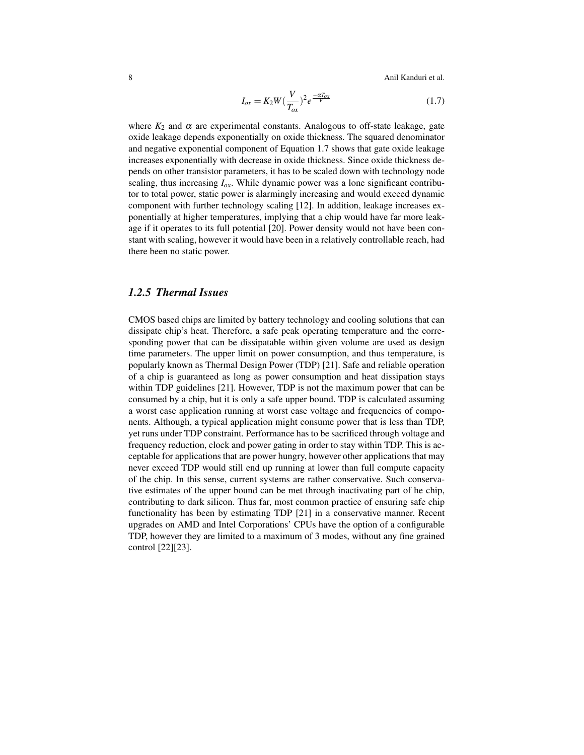8 Anil Kanduri et al.

$$
I_{ox} = K_2 W \left(\frac{V}{T_{ox}}\right)^2 e^{\frac{-\alpha T_{ox}}{V}} \tag{1.7}
$$

where  $K_2$  and  $\alpha$  are experimental constants. Analogous to off-state leakage, gate oxide leakage depends exponentially on oxide thickness. The squared denominator and negative exponential component of Equation 1.7 shows that gate oxide leakage increases exponentially with decrease in oxide thickness. Since oxide thickness depends on other transistor parameters, it has to be scaled down with technology node scaling, thus increasing  $I_{ox}$ . While dynamic power was a lone significant contributor to total power, static power is alarmingly increasing and would exceed dynamic component with further technology scaling [12]. In addition, leakage increases exponentially at higher temperatures, implying that a chip would have far more leakage if it operates to its full potential [20]. Power density would not have been constant with scaling, however it would have been in a relatively controllable reach, had there been no static power.

### *1.2.5 Thermal Issues*

CMOS based chips are limited by battery technology and cooling solutions that can dissipate chip's heat. Therefore, a safe peak operating temperature and the corresponding power that can be dissipatable within given volume are used as design time parameters. The upper limit on power consumption, and thus temperature, is popularly known as Thermal Design Power (TDP) [21]. Safe and reliable operation of a chip is guaranteed as long as power consumption and heat dissipation stays within TDP guidelines [21]. However, TDP is not the maximum power that can be consumed by a chip, but it is only a safe upper bound. TDP is calculated assuming a worst case application running at worst case voltage and frequencies of components. Although, a typical application might consume power that is less than TDP, yet runs under TDP constraint. Performance has to be sacrificed through voltage and frequency reduction, clock and power gating in order to stay within TDP. This is acceptable for applications that are power hungry, however other applications that may never exceed TDP would still end up running at lower than full compute capacity of the chip. In this sense, current systems are rather conservative. Such conservative estimates of the upper bound can be met through inactivating part of he chip, contributing to dark silicon. Thus far, most common practice of ensuring safe chip functionality has been by estimating TDP [21] in a conservative manner. Recent upgrades on AMD and Intel Corporations' CPUs have the option of a configurable TDP, however they are limited to a maximum of 3 modes, without any fine grained control [22][23].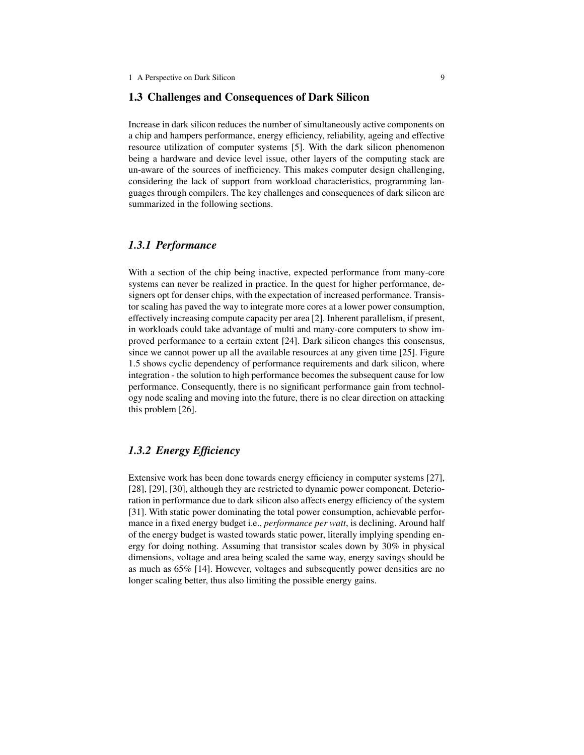#### 1.3 Challenges and Consequences of Dark Silicon

Increase in dark silicon reduces the number of simultaneously active components on a chip and hampers performance, energy efficiency, reliability, ageing and effective resource utilization of computer systems [5]. With the dark silicon phenomenon being a hardware and device level issue, other layers of the computing stack are un-aware of the sources of inefficiency. This makes computer design challenging, considering the lack of support from workload characteristics, programming languages through compilers. The key challenges and consequences of dark silicon are summarized in the following sections.

## *1.3.1 Performance*

With a section of the chip being inactive, expected performance from many-core systems can never be realized in practice. In the quest for higher performance, designers opt for denser chips, with the expectation of increased performance. Transistor scaling has paved the way to integrate more cores at a lower power consumption, effectively increasing compute capacity per area [2]. Inherent parallelism, if present, in workloads could take advantage of multi and many-core computers to show improved performance to a certain extent [24]. Dark silicon changes this consensus, since we cannot power up all the available resources at any given time [25]. Figure 1.5 shows cyclic dependency of performance requirements and dark silicon, where integration - the solution to high performance becomes the subsequent cause for low performance. Consequently, there is no significant performance gain from technology node scaling and moving into the future, there is no clear direction on attacking this problem [26].

# *1.3.2 Energy Efficiency*

Extensive work has been done towards energy efficiency in computer systems [27], [28], [29], [30], although they are restricted to dynamic power component. Deterioration in performance due to dark silicon also affects energy efficiency of the system [31]. With static power dominating the total power consumption, achievable performance in a fixed energy budget i.e., *performance per watt*, is declining. Around half of the energy budget is wasted towards static power, literally implying spending energy for doing nothing. Assuming that transistor scales down by 30% in physical dimensions, voltage and area being scaled the same way, energy savings should be as much as 65% [14]. However, voltages and subsequently power densities are no longer scaling better, thus also limiting the possible energy gains.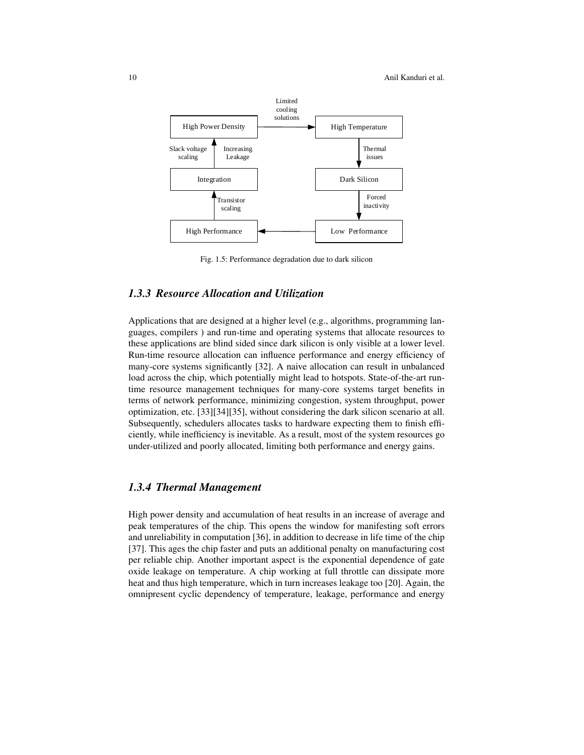

Fig. 1.5: Performance degradation due to dark silicon

# *1.3.3 Resource Allocation and Utilization*

Applications that are designed at a higher level (e.g., algorithms, programming languages, compilers ) and run-time and operating systems that allocate resources to these applications are blind sided since dark silicon is only visible at a lower level. Run-time resource allocation can influence performance and energy efficiency of many-core systems significantly [32]. A naive allocation can result in unbalanced load across the chip, which potentially might lead to hotspots. State-of-the-art runtime resource management techniques for many-core systems target benefits in terms of network performance, minimizing congestion, system throughput, power optimization, etc. [33][34][35], without considering the dark silicon scenario at all. Subsequently, schedulers allocates tasks to hardware expecting them to finish efficiently, while inefficiency is inevitable. As a result, most of the system resources go under-utilized and poorly allocated, limiting both performance and energy gains.

# *1.3.4 Thermal Management*

High power density and accumulation of heat results in an increase of average and peak temperatures of the chip. This opens the window for manifesting soft errors and unreliability in computation [36], in addition to decrease in life time of the chip [37]. This ages the chip faster and puts an additional penalty on manufacturing cost per reliable chip. Another important aspect is the exponential dependence of gate oxide leakage on temperature. A chip working at full throttle can dissipate more heat and thus high temperature, which in turn increases leakage too [20]. Again, the omnipresent cyclic dependency of temperature, leakage, performance and energy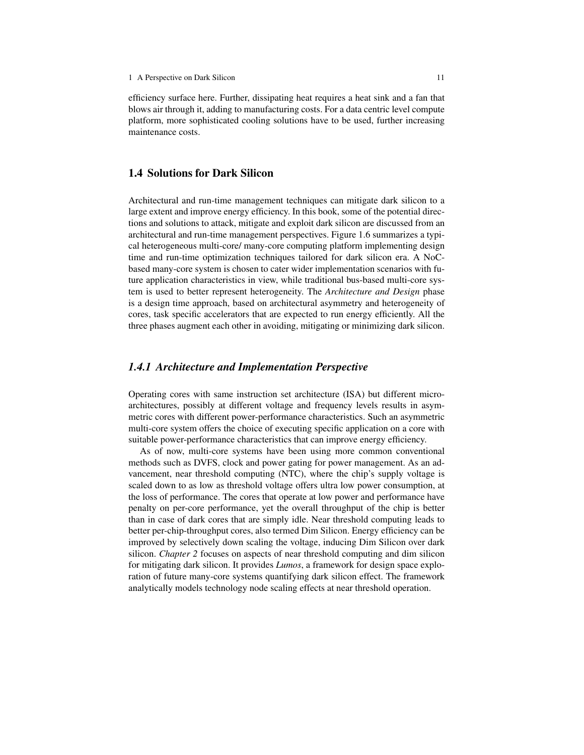efficiency surface here. Further, dissipating heat requires a heat sink and a fan that blows air through it, adding to manufacturing costs. For a data centric level compute platform, more sophisticated cooling solutions have to be used, further increasing maintenance costs.

## 1.4 Solutions for Dark Silicon

Architectural and run-time management techniques can mitigate dark silicon to a large extent and improve energy efficiency. In this book, some of the potential directions and solutions to attack, mitigate and exploit dark silicon are discussed from an architectural and run-time management perspectives. Figure 1.6 summarizes a typical heterogeneous multi-core/ many-core computing platform implementing design time and run-time optimization techniques tailored for dark silicon era. A NoCbased many-core system is chosen to cater wider implementation scenarios with future application characteristics in view, while traditional bus-based multi-core system is used to better represent heterogeneity. The *Architecture and Design* phase is a design time approach, based on architectural asymmetry and heterogeneity of cores, task specific accelerators that are expected to run energy efficiently. All the three phases augment each other in avoiding, mitigating or minimizing dark silicon.

# *1.4.1 Architecture and Implementation Perspective*

Operating cores with same instruction set architecture (ISA) but different microarchitectures, possibly at different voltage and frequency levels results in asymmetric cores with different power-performance characteristics. Such an asymmetric multi-core system offers the choice of executing specific application on a core with suitable power-performance characteristics that can improve energy efficiency.

As of now, multi-core systems have been using more common conventional methods such as DVFS, clock and power gating for power management. As an advancement, near threshold computing (NTC), where the chip's supply voltage is scaled down to as low as threshold voltage offers ultra low power consumption, at the loss of performance. The cores that operate at low power and performance have penalty on per-core performance, yet the overall throughput of the chip is better than in case of dark cores that are simply idle. Near threshold computing leads to better per-chip-throughput cores, also termed Dim Silicon. Energy efficiency can be improved by selectively down scaling the voltage, inducing Dim Silicon over dark silicon. *Chapter 2* focuses on aspects of near threshold computing and dim silicon for mitigating dark silicon. It provides *Lumos*, a framework for design space exploration of future many-core systems quantifying dark silicon effect. The framework analytically models technology node scaling effects at near threshold operation.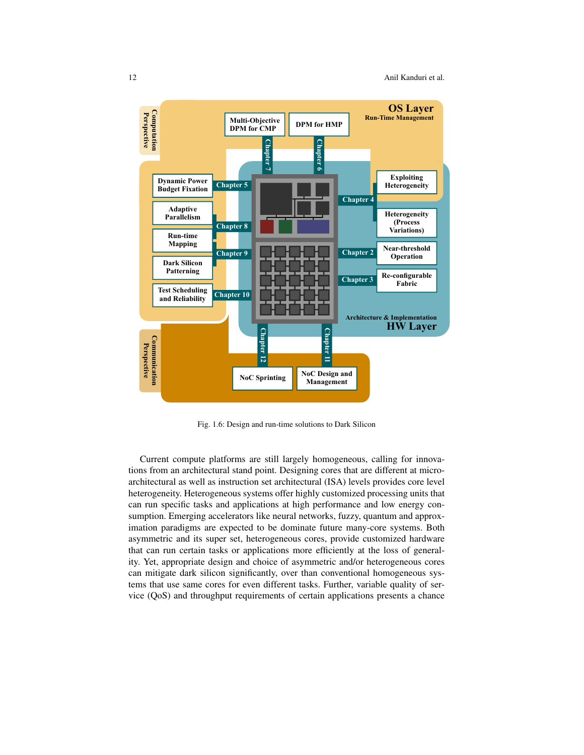

Fig. 1.6: Design and run-time solutions to Dark Silicon

Current compute platforms are still largely homogeneous, calling for innovations from an architectural stand point. Designing cores that are different at microarchitectural as well as instruction set architectural (ISA) levels provides core level heterogeneity. Heterogeneous systems offer highly customized processing units that can run specific tasks and applications at high performance and low energy consumption. Emerging accelerators like neural networks, fuzzy, quantum and approximation paradigms are expected to be dominate future many-core systems. Both asymmetric and its super set, heterogeneous cores, provide customized hardware that can run certain tasks or applications more efficiently at the loss of generality. Yet, appropriate design and choice of asymmetric and/or heterogeneous cores can mitigate dark silicon significantly, over than conventional homogeneous systems that use same cores for even different tasks. Further, variable quality of service (QoS) and throughput requirements of certain applications presents a chance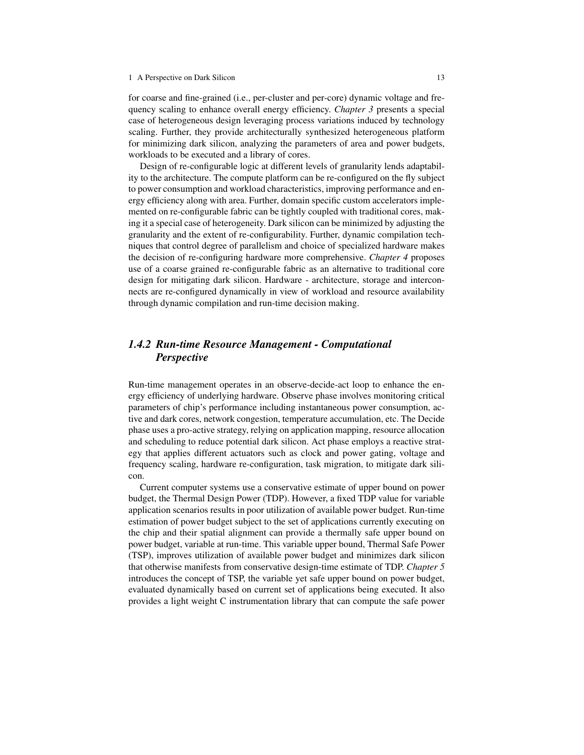#### 1 A Perspective on Dark Silicon 13

for coarse and fine-grained (i.e., per-cluster and per-core) dynamic voltage and frequency scaling to enhance overall energy efficiency. *Chapter 3* presents a special case of heterogeneous design leveraging process variations induced by technology scaling. Further, they provide architecturally synthesized heterogeneous platform for minimizing dark silicon, analyzing the parameters of area and power budgets, workloads to be executed and a library of cores.

Design of re-configurable logic at different levels of granularity lends adaptability to the architecture. The compute platform can be re-configured on the fly subject to power consumption and workload characteristics, improving performance and energy efficiency along with area. Further, domain specific custom accelerators implemented on re-configurable fabric can be tightly coupled with traditional cores, making it a special case of heterogeneity. Dark silicon can be minimized by adjusting the granularity and the extent of re-configurability. Further, dynamic compilation techniques that control degree of parallelism and choice of specialized hardware makes the decision of re-configuring hardware more comprehensive. *Chapter 4* proposes use of a coarse grained re-configurable fabric as an alternative to traditional core design for mitigating dark silicon. Hardware - architecture, storage and interconnects are re-configured dynamically in view of workload and resource availability through dynamic compilation and run-time decision making.

# *1.4.2 Run-time Resource Management - Computational Perspective*

Run-time management operates in an observe-decide-act loop to enhance the energy efficiency of underlying hardware. Observe phase involves monitoring critical parameters of chip's performance including instantaneous power consumption, active and dark cores, network congestion, temperature accumulation, etc. The Decide phase uses a pro-active strategy, relying on application mapping, resource allocation and scheduling to reduce potential dark silicon. Act phase employs a reactive strategy that applies different actuators such as clock and power gating, voltage and frequency scaling, hardware re-configuration, task migration, to mitigate dark silicon.

Current computer systems use a conservative estimate of upper bound on power budget, the Thermal Design Power (TDP). However, a fixed TDP value for variable application scenarios results in poor utilization of available power budget. Run-time estimation of power budget subject to the set of applications currently executing on the chip and their spatial alignment can provide a thermally safe upper bound on power budget, variable at run-time. This variable upper bound, Thermal Safe Power (TSP), improves utilization of available power budget and minimizes dark silicon that otherwise manifests from conservative design-time estimate of TDP. *Chapter 5* introduces the concept of TSP, the variable yet safe upper bound on power budget, evaluated dynamically based on current set of applications being executed. It also provides a light weight C instrumentation library that can compute the safe power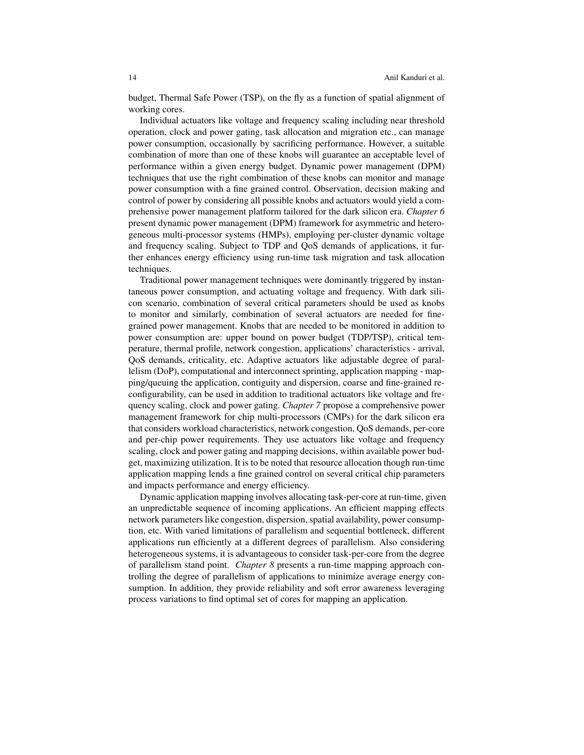budget, Thermal Safe Power (TSP), on the fly as a function of spatial alignment of working cores.

Individual actuators like voltage and frequency scaling including near threshold operation, clock and power gating, task allocation and migration etc., can manage power consumption, occasionally by sacrificing performance. However, a suitable combination of more than one of these knobs will guarantee an acceptable level of performance within a given energy budget. Dynamic power management (DPM) techniques that use the right combination of these knobs can monitor and manage power consumption with a fine grained control. Observation, decision making and control of power by considering all possible knobs and actuators would yield a comprehensive power management platform tailored for the dark silicon era. *Chapter 6* present dynamic power management (DPM) framework for asymmetric and heterogeneous multi-processor systems (HMPs), employing per-cluster dynamic voltage and frequency scaling. Subject to TDP and QoS demands of applications, it further enhances energy efficiency using run-time task migration and task allocation techniques.

Traditional power management techniques were dominantly triggered by instantaneous power consumption, and actuating voltage and frequency. With dark silicon scenario, combination of several critical parameters should be used as knobs to monitor and similarly, combination of several actuators are needed for finegrained power management. Knobs that are needed to be monitored in addition to power consumption are: upper bound on power budget (TDP/TSP), critical temperature, thermal profile, network congestion, applications' characteristics - arrival, QoS demands, criticality, etc. Adaptive actuators like adjustable degree of parallelism (DoP), computational and interconnect sprinting, application mapping - mapping/queuing the application, contiguity and dispersion, coarse and fine-grained reconfigurability, can be used in addition to traditional actuators like voltage and frequency scaling, clock and power gating. *Chapter 7* propose a comprehensive power management framework for chip multi-processors (CMPs) for the dark silicon era that considers workload characteristics, network congestion, QoS demands, per-core and per-chip power requirements. They use actuators like voltage and frequency scaling, clock and power gating and mapping decisions, within available power budget, maximizing utilization. It is to be noted that resource allocation though run-time application mapping lends a fine grained control on several critical chip parameters and impacts performance and energy efficiency.

Dynamic application mapping involves allocating task-per-core at run-time, given an unpredictable sequence of incoming applications. An efficient mapping effects network parameters like congestion, dispersion, spatial availability, power consumption, etc. With varied limitations of parallelism and sequential bottleneck, different applications run efficiently at a different degrees of parallelism. Also considering heterogeneous systems, it is advantageous to consider task-per-core from the degree of parallelism stand point. *Chapter 8* presents a run-time mapping approach controlling the degree of parallelism of applications to minimize average energy consumption. In addition, they provide reliability and soft error awareness leveraging process variations to find optimal set of cores for mapping an application.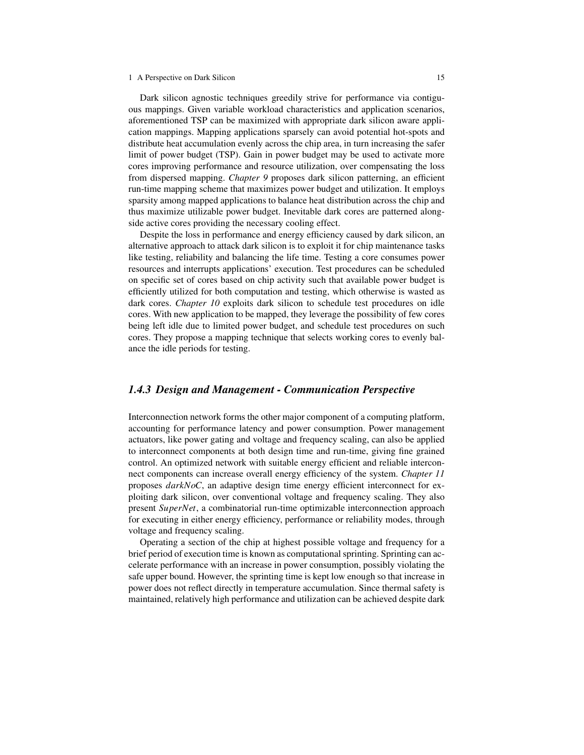#### 1 A Perspective on Dark Silicon 15

Dark silicon agnostic techniques greedily strive for performance via contiguous mappings. Given variable workload characteristics and application scenarios, aforementioned TSP can be maximized with appropriate dark silicon aware application mappings. Mapping applications sparsely can avoid potential hot-spots and distribute heat accumulation evenly across the chip area, in turn increasing the safer limit of power budget (TSP). Gain in power budget may be used to activate more cores improving performance and resource utilization, over compensating the loss from dispersed mapping. *Chapter 9* proposes dark silicon patterning, an efficient run-time mapping scheme that maximizes power budget and utilization. It employs sparsity among mapped applications to balance heat distribution across the chip and thus maximize utilizable power budget. Inevitable dark cores are patterned alongside active cores providing the necessary cooling effect.

Despite the loss in performance and energy efficiency caused by dark silicon, an alternative approach to attack dark silicon is to exploit it for chip maintenance tasks like testing, reliability and balancing the life time. Testing a core consumes power resources and interrupts applications' execution. Test procedures can be scheduled on specific set of cores based on chip activity such that available power budget is efficiently utilized for both computation and testing, which otherwise is wasted as dark cores. *Chapter 10* exploits dark silicon to schedule test procedures on idle cores. With new application to be mapped, they leverage the possibility of few cores being left idle due to limited power budget, and schedule test procedures on such cores. They propose a mapping technique that selects working cores to evenly balance the idle periods for testing.

## *1.4.3 Design and Management - Communication Perspective*

Interconnection network forms the other major component of a computing platform, accounting for performance latency and power consumption. Power management actuators, like power gating and voltage and frequency scaling, can also be applied to interconnect components at both design time and run-time, giving fine grained control. An optimized network with suitable energy efficient and reliable interconnect components can increase overall energy efficiency of the system. *Chapter 11* proposes *darkNoC*, an adaptive design time energy efficient interconnect for exploiting dark silicon, over conventional voltage and frequency scaling. They also present *SuperNet*, a combinatorial run-time optimizable interconnection approach for executing in either energy efficiency, performance or reliability modes, through voltage and frequency scaling.

Operating a section of the chip at highest possible voltage and frequency for a brief period of execution time is known as computational sprinting. Sprinting can accelerate performance with an increase in power consumption, possibly violating the safe upper bound. However, the sprinting time is kept low enough so that increase in power does not reflect directly in temperature accumulation. Since thermal safety is maintained, relatively high performance and utilization can be achieved despite dark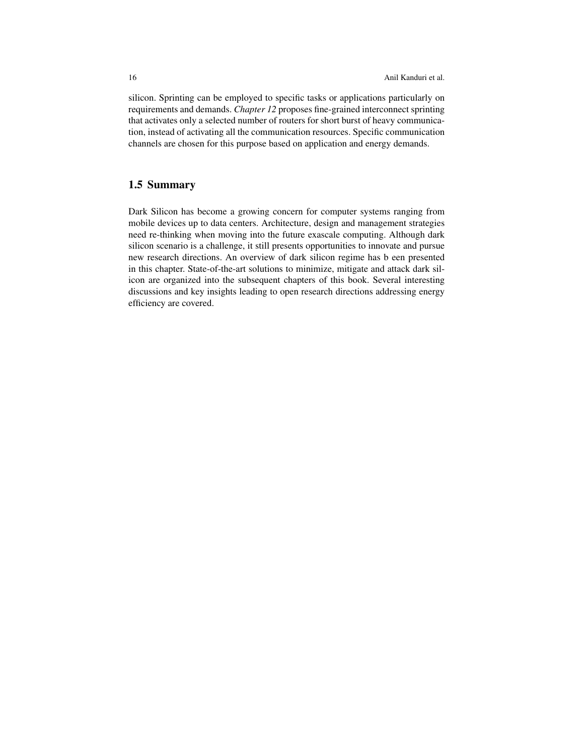silicon. Sprinting can be employed to specific tasks or applications particularly on requirements and demands. *Chapter 12* proposes fine-grained interconnect sprinting that activates only a selected number of routers for short burst of heavy communication, instead of activating all the communication resources. Specific communication channels are chosen for this purpose based on application and energy demands.

# 1.5 Summary

Dark Silicon has become a growing concern for computer systems ranging from mobile devices up to data centers. Architecture, design and management strategies need re-thinking when moving into the future exascale computing. Although dark silicon scenario is a challenge, it still presents opportunities to innovate and pursue new research directions. An overview of dark silicon regime has b een presented in this chapter. State-of-the-art solutions to minimize, mitigate and attack dark silicon are organized into the subsequent chapters of this book. Several interesting discussions and key insights leading to open research directions addressing energy efficiency are covered.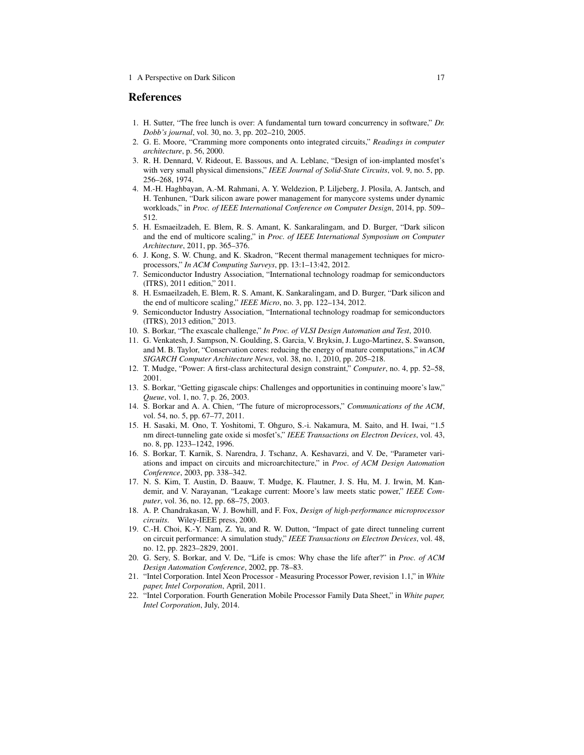#### References

- 1. H. Sutter, "The free lunch is over: A fundamental turn toward concurrency in software," *Dr. Dobb's journal*, vol. 30, no. 3, pp. 202–210, 2005.
- 2. G. E. Moore, "Cramming more components onto integrated circuits," *Readings in computer architecture*, p. 56, 2000.
- 3. R. H. Dennard, V. Rideout, E. Bassous, and A. Leblanc, "Design of ion-implanted mosfet's with very small physical dimensions," *IEEE Journal of Solid-State Circuits*, vol. 9, no. 5, pp. 256–268, 1974.
- 4. M.-H. Haghbayan, A.-M. Rahmani, A. Y. Weldezion, P. Liljeberg, J. Plosila, A. Jantsch, and H. Tenhunen, "Dark silicon aware power management for manycore systems under dynamic workloads," in *Proc. of IEEE International Conference on Computer Design*, 2014, pp. 509– 512.
- 5. H. Esmaeilzadeh, E. Blem, R. S. Amant, K. Sankaralingam, and D. Burger, "Dark silicon and the end of multicore scaling," in *Proc. of IEEE International Symposium on Computer Architecture*, 2011, pp. 365–376.
- 6. J. Kong, S. W. Chung, and K. Skadron, "Recent thermal management techniques for microprocessors," *In ACM Computing Surveys*, pp. 13:1–13:42, 2012.
- 7. Semiconductor Industry Association, "International technology roadmap for semiconductors (ITRS), 2011 edition," 2011.
- 8. H. Esmaeilzadeh, E. Blem, R. S. Amant, K. Sankaralingam, and D. Burger, "Dark silicon and the end of multicore scaling," *IEEE Micro*, no. 3, pp. 122–134, 2012.
- 9. Semiconductor Industry Association, "International technology roadmap for semiconductors (ITRS), 2013 edition," 2013.
- 10. S. Borkar, "The exascale challenge," *In Proc. of VLSI Design Automation and Test*, 2010.
- 11. G. Venkatesh, J. Sampson, N. Goulding, S. Garcia, V. Bryksin, J. Lugo-Martinez, S. Swanson, and M. B. Taylor, "Conservation cores: reducing the energy of mature computations," in *ACM SIGARCH Computer Architecture News*, vol. 38, no. 1, 2010, pp. 205–218.
- 12. T. Mudge, "Power: A first-class architectural design constraint," *Computer*, no. 4, pp. 52–58, 2001.
- 13. S. Borkar, "Getting gigascale chips: Challenges and opportunities in continuing moore's law," *Queue*, vol. 1, no. 7, p. 26, 2003.
- 14. S. Borkar and A. A. Chien, "The future of microprocessors," *Communications of the ACM*, vol. 54, no. 5, pp. 67–77, 2011.
- 15. H. Sasaki, M. Ono, T. Yoshitomi, T. Ohguro, S.-i. Nakamura, M. Saito, and H. Iwai, "1.5 nm direct-tunneling gate oxide si mosfet's," *IEEE Transactions on Electron Devices*, vol. 43, no. 8, pp. 1233–1242, 1996.
- 16. S. Borkar, T. Karnik, S. Narendra, J. Tschanz, A. Keshavarzi, and V. De, "Parameter variations and impact on circuits and microarchitecture," in *Proc. of ACM Design Automation Conference*, 2003, pp. 338–342.
- 17. N. S. Kim, T. Austin, D. Baauw, T. Mudge, K. Flautner, J. S. Hu, M. J. Irwin, M. Kandemir, and V. Narayanan, "Leakage current: Moore's law meets static power," *IEEE Computer*, vol. 36, no. 12, pp. 68–75, 2003.
- 18. A. P. Chandrakasan, W. J. Bowhill, and F. Fox, *Design of high-performance microprocessor circuits*. Wiley-IEEE press, 2000.
- 19. C.-H. Choi, K.-Y. Nam, Z. Yu, and R. W. Dutton, "Impact of gate direct tunneling current on circuit performance: A simulation study," *IEEE Transactions on Electron Devices*, vol. 48, no. 12, pp. 2823–2829, 2001.
- 20. G. Sery, S. Borkar, and V. De, "Life is cmos: Why chase the life after?" in *Proc. of ACM Design Automation Conference*, 2002, pp. 78–83.
- 21. "Intel Corporation. Intel Xeon Processor Measuring Processor Power, revision 1.1," in *White paper, Intel Corporation*, April, 2011.
- 22. "Intel Corporation. Fourth Generation Mobile Processor Family Data Sheet," in *White paper, Intel Corporation*, July, 2014.